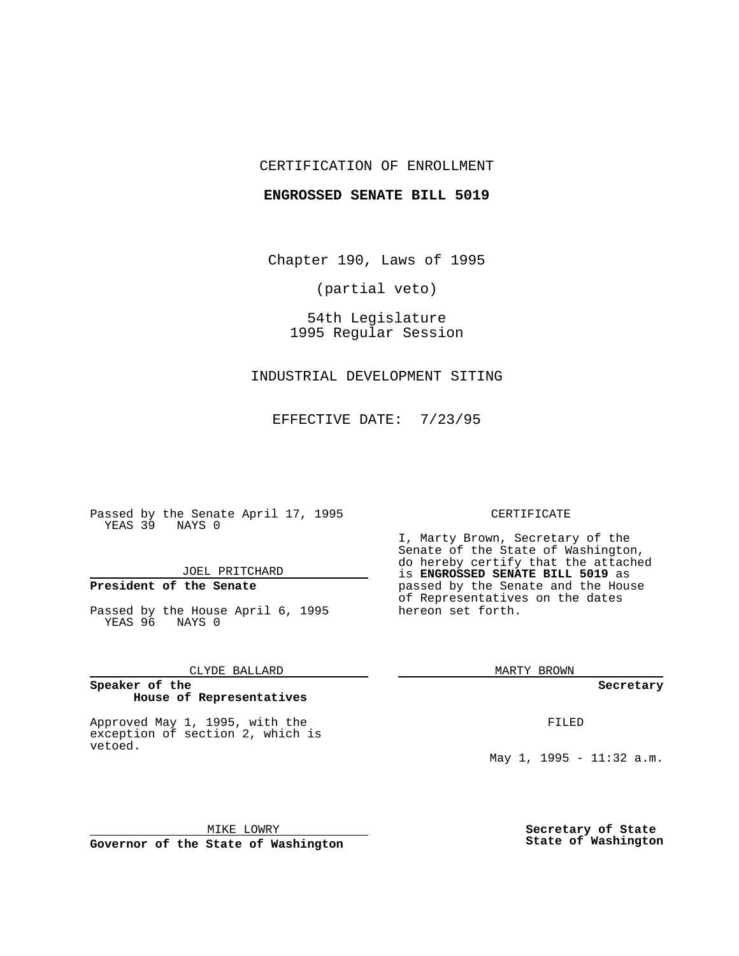## CERTIFICATION OF ENROLLMENT

### **ENGROSSED SENATE BILL 5019**

Chapter 190, Laws of 1995

(partial veto)

54th Legislature 1995 Regular Session

INDUSTRIAL DEVELOPMENT SITING

EFFECTIVE DATE: 7/23/95

Passed by the Senate April 17, 1995 YEAS 39 NAYS 0

JOEL PRITCHARD

## **President of the Senate**

Passed by the House April 6, 1995 YEAS 96 NAYS 0

CLYDE BALLARD

#### **Speaker of the House of Representatives**

Approved May 1, 1995, with the exception of section 2, which is vetoed.

### CERTIFICATE

I, Marty Brown, Secretary of the Senate of the State of Washington, do hereby certify that the attached is **ENGROSSED SENATE BILL 5019** as passed by the Senate and the House of Representatives on the dates hereon set forth.

MARTY BROWN

**Secretary**

FILED

May 1, 1995 - 11:32 a.m.

MIKE LOWRY **Governor of the State of Washington** **Secretary of State State of Washington**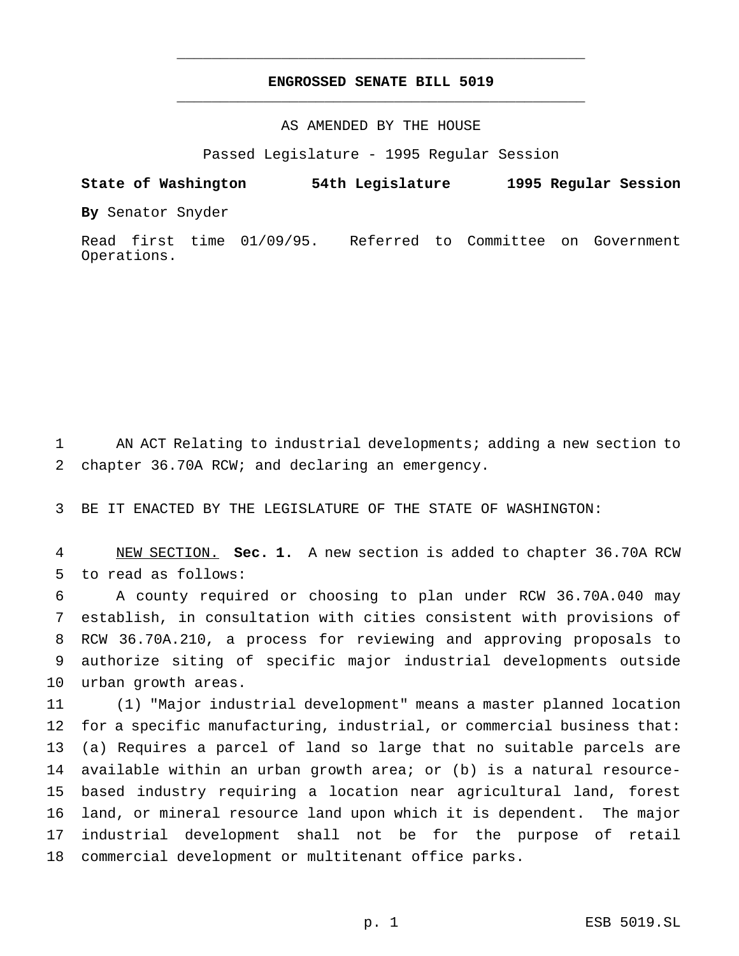# **ENGROSSED SENATE BILL 5019** \_\_\_\_\_\_\_\_\_\_\_\_\_\_\_\_\_\_\_\_\_\_\_\_\_\_\_\_\_\_\_\_\_\_\_\_\_\_\_\_\_\_\_\_\_\_\_

\_\_\_\_\_\_\_\_\_\_\_\_\_\_\_\_\_\_\_\_\_\_\_\_\_\_\_\_\_\_\_\_\_\_\_\_\_\_\_\_\_\_\_\_\_\_\_

## AS AMENDED BY THE HOUSE

Passed Legislature - 1995 Regular Session

**State of Washington 54th Legislature 1995 Regular Session**

**By** Senator Snyder

Read first time 01/09/95. Referred to Committee on Government Operations.

 AN ACT Relating to industrial developments; adding a new section to chapter 36.70A RCW; and declaring an emergency.

BE IT ENACTED BY THE LEGISLATURE OF THE STATE OF WASHINGTON:

 NEW SECTION. **Sec. 1.** A new section is added to chapter 36.70A RCW to read as follows:

 A county required or choosing to plan under RCW 36.70A.040 may establish, in consultation with cities consistent with provisions of RCW 36.70A.210, a process for reviewing and approving proposals to authorize siting of specific major industrial developments outside urban growth areas.

 (1) "Major industrial development" means a master planned location for a specific manufacturing, industrial, or commercial business that: (a) Requires a parcel of land so large that no suitable parcels are available within an urban growth area; or (b) is a natural resource- based industry requiring a location near agricultural land, forest land, or mineral resource land upon which it is dependent. The major industrial development shall not be for the purpose of retail commercial development or multitenant office parks.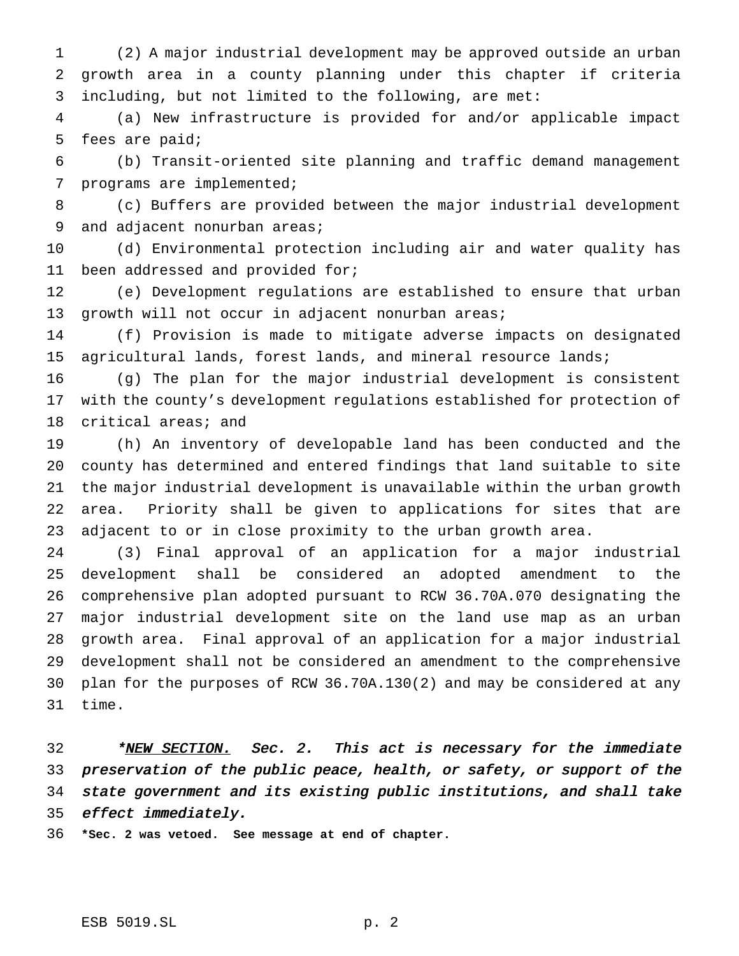(2) A major industrial development may be approved outside an urban growth area in a county planning under this chapter if criteria including, but not limited to the following, are met:

 (a) New infrastructure is provided for and/or applicable impact fees are paid;

 (b) Transit-oriented site planning and traffic demand management programs are implemented;

 (c) Buffers are provided between the major industrial development 9 and adjacent nonurban areas;

 (d) Environmental protection including air and water quality has been addressed and provided for;

 (e) Development regulations are established to ensure that urban growth will not occur in adjacent nonurban areas;

 (f) Provision is made to mitigate adverse impacts on designated agricultural lands, forest lands, and mineral resource lands;

 (g) The plan for the major industrial development is consistent with the county's development regulations established for protection of critical areas; and

 (h) An inventory of developable land has been conducted and the county has determined and entered findings that land suitable to site the major industrial development is unavailable within the urban growth area. Priority shall be given to applications for sites that are adjacent to or in close proximity to the urban growth area.

 (3) Final approval of an application for a major industrial development shall be considered an adopted amendment to the comprehensive plan adopted pursuant to RCW 36.70A.070 designating the major industrial development site on the land use map as an urban growth area. Final approval of an application for a major industrial development shall not be considered an amendment to the comprehensive plan for the purposes of RCW 36.70A.130(2) and may be considered at any time.

32 \*<u>NEW SECTION.</u> Sec. 2. This act is necessary for the immediate preservation of the public peace, health, or safety, or support of the state government and its existing public institutions, and shall take 35 effect immediately.

**\*Sec. 2 was vetoed. See message at end of chapter.**